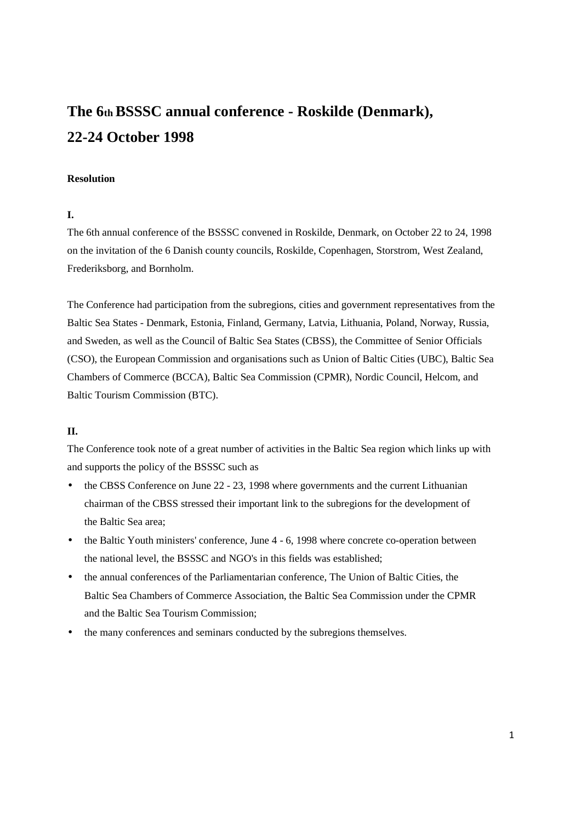# **The 6th BSSSC annual conference - Roskilde (Denmark), 22-24 October 1998**

#### **Resolution**

# **I.**

The 6th annual conference of the BSSSC convened in Roskilde, Denmark, on October 22 to 24, 1998 on the invitation of the 6 Danish county councils, Roskilde, Copenhagen, Storstrom, West Zealand, Frederiksborg, and Bornholm.

The Conference had participation from the subregions, cities and government representatives from the Baltic Sea States - Denmark, Estonia, Finland, Germany, Latvia, Lithuania, Poland, Norway, Russia, and Sweden, as well as the Council of Baltic Sea States (CBSS), the Committee of Senior Officials (CSO), the European Commission and organisations such as Union of Baltic Cities (UBC), Baltic Sea Chambers of Commerce (BCCA), Baltic Sea Commission (CPMR), Nordic Council, Helcom, and Baltic Tourism Commission (BTC).

## **II.**

The Conference took note of a great number of activities in the Baltic Sea region which links up with and supports the policy of the BSSSC such as

- the CBSS Conference on June 22 23, 1998 where governments and the current Lithuanian chairman of the CBSS stressed their important link to the subregions for the development of the Baltic Sea area;
- the Baltic Youth ministers' conference, June 4 6, 1998 where concrete co-operation between the national level, the BSSSC and NGO's in this fields was established;
- the annual conferences of the Parliamentarian conference, The Union of Baltic Cities, the Baltic Sea Chambers of Commerce Association, the Baltic Sea Commission under the CPMR and the Baltic Sea Tourism Commission;
- the many conferences and seminars conducted by the subregions themselves.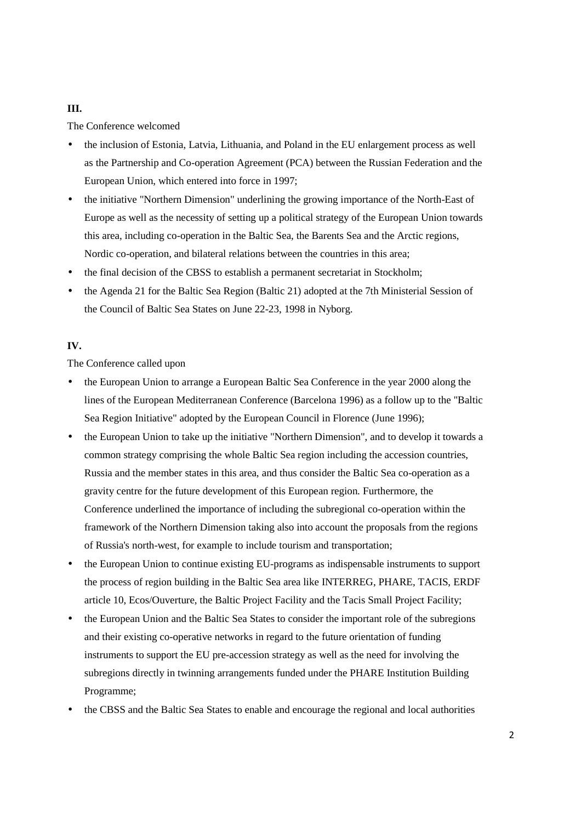# **III.**

The Conference welcomed

- the inclusion of Estonia, Latvia, Lithuania, and Poland in the EU enlargement process as well as the Partnership and Co-operation Agreement (PCA) between the Russian Federation and the European Union, which entered into force in 1997;
- the initiative "Northern Dimension" underlining the growing importance of the North-East of Europe as well as the necessity of setting up a political strategy of the European Union towards this area, including co-operation in the Baltic Sea, the Barents Sea and the Arctic regions, Nordic co-operation, and bilateral relations between the countries in this area;
- the final decision of the CBSS to establish a permanent secretariat in Stockholm;
- the Agenda 21 for the Baltic Sea Region (Baltic 21) adopted at the 7th Ministerial Session of the Council of Baltic Sea States on June 22-23, 1998 in Nyborg.

# **IV.**

The Conference called upon

- the European Union to arrange a European Baltic Sea Conference in the year 2000 along the lines of the European Mediterranean Conference (Barcelona 1996) as a follow up to the "Baltic Sea Region Initiative" adopted by the European Council in Florence (June 1996);
- the European Union to take up the initiative "Northern Dimension", and to develop it towards a common strategy comprising the whole Baltic Sea region including the accession countries, Russia and the member states in this area, and thus consider the Baltic Sea co-operation as a gravity centre for the future development of this European region. Furthermore, the Conference underlined the importance of including the subregional co-operation within the framework of the Northern Dimension taking also into account the proposals from the regions of Russia's north-west, for example to include tourism and transportation;
- the European Union to continue existing EU-programs as indispensable instruments to support the process of region building in the Baltic Sea area like INTERREG, PHARE, TACIS, ERDF article 10, Ecos/Ouverture, the Baltic Project Facility and the Tacis Small Project Facility;
- the European Union and the Baltic Sea States to consider the important role of the subregions and their existing co-operative networks in regard to the future orientation of funding instruments to support the EU pre-accession strategy as well as the need for involving the subregions directly in twinning arrangements funded under the PHARE Institution Building Programme;
- the CBSS and the Baltic Sea States to enable and encourage the regional and local authorities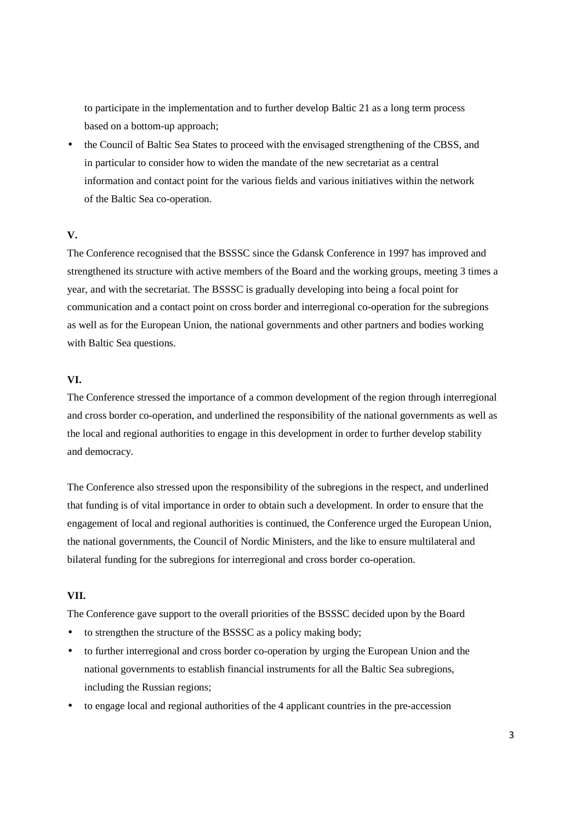to participate in the implementation and to further develop Baltic 21 as a long term process based on a bottom-up approach;

• the Council of Baltic Sea States to proceed with the envisaged strengthening of the CBSS, and in particular to consider how to widen the mandate of the new secretariat as a central information and contact point for the various fields and various initiatives within the network of the Baltic Sea co-operation.

# **V.**

The Conference recognised that the BSSSC since the Gdansk Conference in 1997 has improved and strengthened its structure with active members of the Board and the working groups, meeting 3 times a year, and with the secretariat. The BSSSC is gradually developing into being a focal point for communication and a contact point on cross border and interregional co-operation for the subregions as well as for the European Union, the national governments and other partners and bodies working with Baltic Sea questions.

# **VI.**

The Conference stressed the importance of a common development of the region through interregional and cross border co-operation, and underlined the responsibility of the national governments as well as the local and regional authorities to engage in this development in order to further develop stability and democracy.

The Conference also stressed upon the responsibility of the subregions in the respect, and underlined that funding is of vital importance in order to obtain such a development. In order to ensure that the engagement of local and regional authorities is continued, the Conference urged the European Union, the national governments, the Council of Nordic Ministers, and the like to ensure multilateral and bilateral funding for the subregions for interregional and cross border co-operation.

## **VII.**

The Conference gave support to the overall priorities of the BSSSC decided upon by the Board

- to strengthen the structure of the BSSSC as a policy making body;
- to further interregional and cross border co-operation by urging the European Union and the national governments to establish financial instruments for all the Baltic Sea subregions, including the Russian regions;
- to engage local and regional authorities of the 4 applicant countries in the pre-accession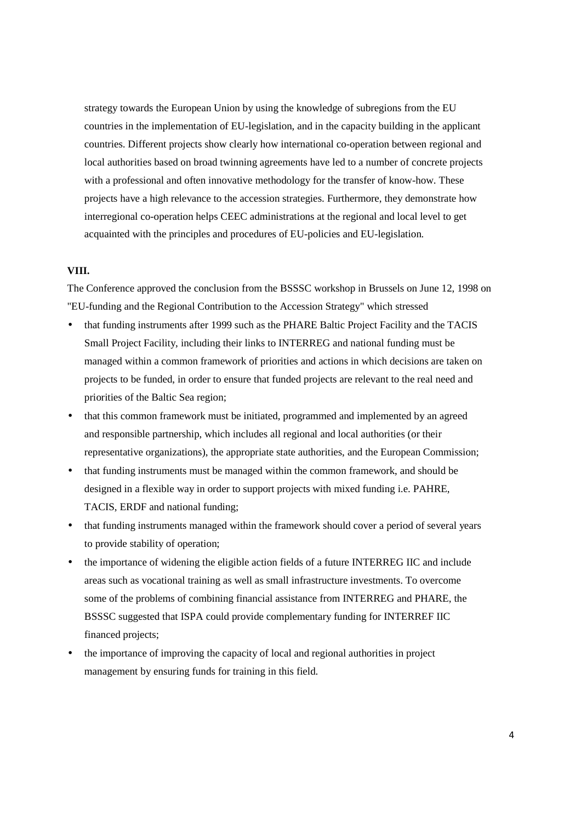strategy towards the European Union by using the knowledge of subregions from the EU countries in the implementation of EU-legislation, and in the capacity building in the applicant countries. Different projects show clearly how international co-operation between regional and local authorities based on broad twinning agreements have led to a number of concrete projects with a professional and often innovative methodology for the transfer of know-how. These projects have a high relevance to the accession strategies. Furthermore, they demonstrate how interregional co-operation helps CEEC administrations at the regional and local level to get acquainted with the principles and procedures of EU-policies and EU-legislation.

#### **VIII.**

The Conference approved the conclusion from the BSSSC workshop in Brussels on June 12, 1998 on "EU-funding and the Regional Contribution to the Accession Strategy" which stressed

- that funding instruments after 1999 such as the PHARE Baltic Project Facility and the TACIS Small Project Facility, including their links to INTERREG and national funding must be managed within a common framework of priorities and actions in which decisions are taken on projects to be funded, in order to ensure that funded projects are relevant to the real need and priorities of the Baltic Sea region;
- that this common framework must be initiated, programmed and implemented by an agreed and responsible partnership, which includes all regional and local authorities (or their representative organizations), the appropriate state authorities, and the European Commission;
- that funding instruments must be managed within the common framework, and should be designed in a flexible way in order to support projects with mixed funding i.e. PAHRE, TACIS, ERDF and national funding;
- that funding instruments managed within the framework should cover a period of several years to provide stability of operation;
- the importance of widening the eligible action fields of a future INTERREG IIC and include areas such as vocational training as well as small infrastructure investments. To overcome some of the problems of combining financial assistance from INTERREG and PHARE, the BSSSC suggested that ISPA could provide complementary funding for INTERREF IIC financed projects;
- the importance of improving the capacity of local and regional authorities in project management by ensuring funds for training in this field.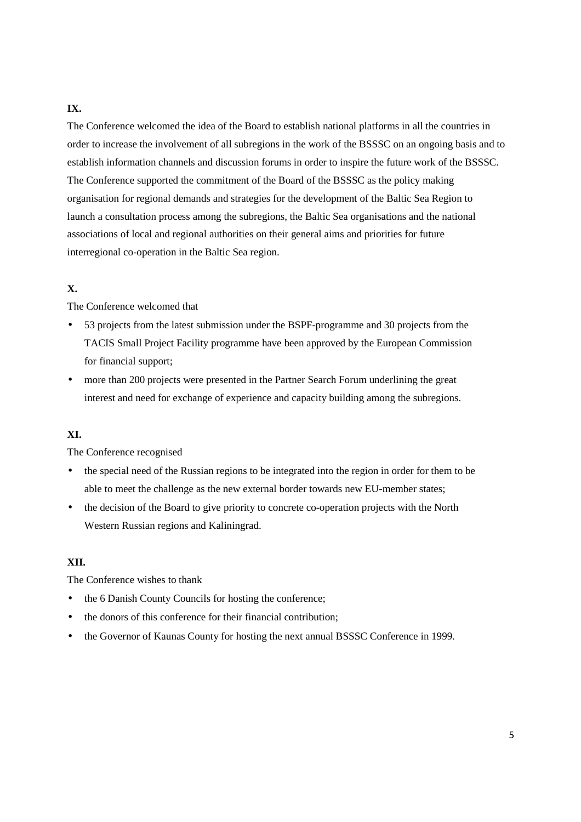# **IX.**

The Conference welcomed the idea of the Board to establish national platforms in all the countries in order to increase the involvement of all subregions in the work of the BSSSC on an ongoing basis and to establish information channels and discussion forums in order to inspire the future work of the BSSSC. The Conference supported the commitment of the Board of the BSSSC as the policy making organisation for regional demands and strategies for the development of the Baltic Sea Region to launch a consultation process among the subregions, the Baltic Sea organisations and the national associations of local and regional authorities on their general aims and priorities for future interregional co-operation in the Baltic Sea region.

# **X.**

The Conference welcomed that

- 53 projects from the latest submission under the BSPF-programme and 30 projects from the TACIS Small Project Facility programme have been approved by the European Commission for financial support;
- more than 200 projects were presented in the Partner Search Forum underlining the great interest and need for exchange of experience and capacity building among the subregions.

# **XI.**

The Conference recognised

- the special need of the Russian regions to be integrated into the region in order for them to be able to meet the challenge as the new external border towards new EU-member states;
- the decision of the Board to give priority to concrete co-operation projects with the North Western Russian regions and Kaliningrad.

# **XII.**

The Conference wishes to thank

- the 6 Danish County Councils for hosting the conference;
- the donors of this conference for their financial contribution;
- the Governor of Kaunas County for hosting the next annual BSSSC Conference in 1999.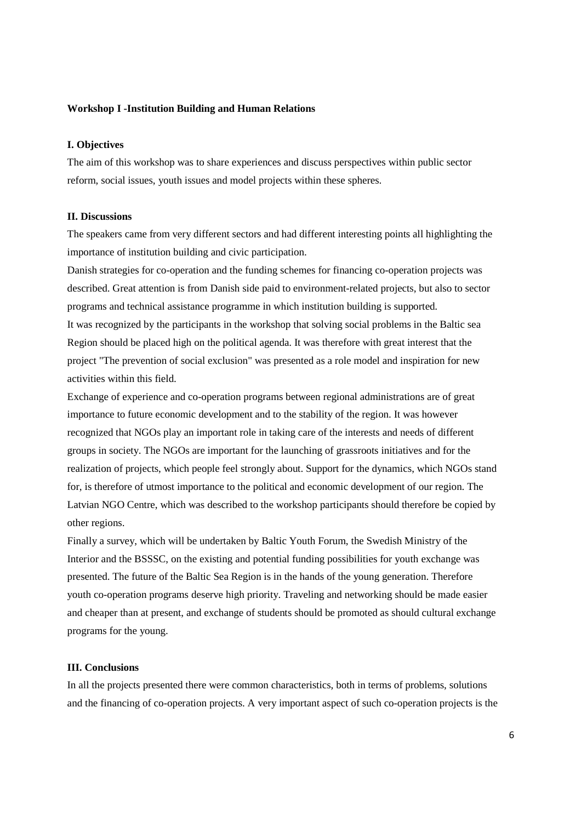#### **Workshop I -Institution Building and Human Relations**

#### **I. Objectives**

The aim of this workshop was to share experiences and discuss perspectives within public sector reform, social issues, youth issues and model projects within these spheres.

#### **II. Discussions**

The speakers came from very different sectors and had different interesting points all highlighting the importance of institution building and civic participation.

Danish strategies for co-operation and the funding schemes for financing co-operation projects was described. Great attention is from Danish side paid to environment-related projects, but also to sector programs and technical assistance programme in which institution building is supported. It was recognized by the participants in the workshop that solving social problems in the Baltic sea Region should be placed high on the political agenda. It was therefore with great interest that the project "The prevention of social exclusion" was presented as a role model and inspiration for new activities within this field.

Exchange of experience and co-operation programs between regional administrations are of great importance to future economic development and to the stability of the region. It was however recognized that NGOs play an important role in taking care of the interests and needs of different groups in society. The NGOs are important for the launching of grassroots initiatives and for the realization of projects, which people feel strongly about. Support for the dynamics, which NGOs stand for, is therefore of utmost importance to the political and economic development of our region. The Latvian NGO Centre, which was described to the workshop participants should therefore be copied by other regions.

Finally a survey, which will be undertaken by Baltic Youth Forum, the Swedish Ministry of the Interior and the BSSSC, on the existing and potential funding possibilities for youth exchange was presented. The future of the Baltic Sea Region is in the hands of the young generation. Therefore youth co-operation programs deserve high priority. Traveling and networking should be made easier and cheaper than at present, and exchange of students should be promoted as should cultural exchange programs for the young.

## **III. Conclusions**

In all the projects presented there were common characteristics, both in terms of problems, solutions and the financing of co-operation projects. A very important aspect of such co-operation projects is the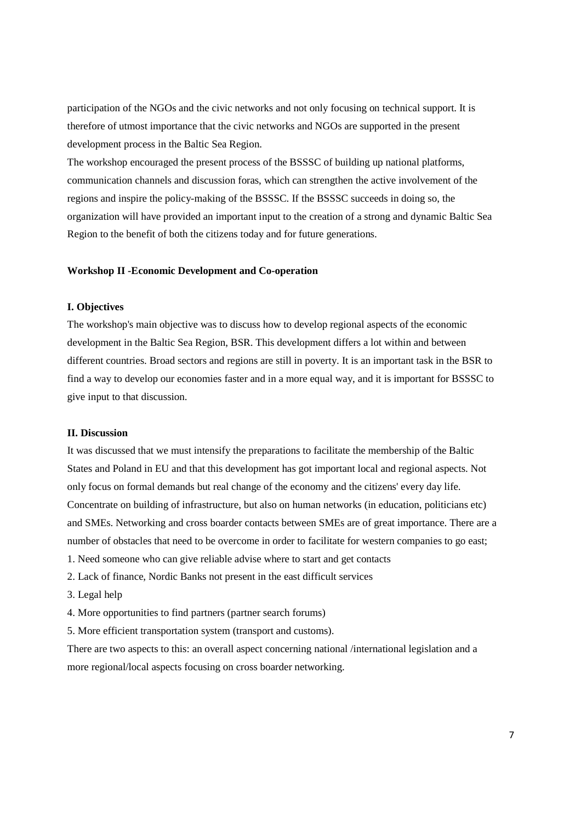participation of the NGOs and the civic networks and not only focusing on technical support. It is therefore of utmost importance that the civic networks and NGOs are supported in the present development process in the Baltic Sea Region.

The workshop encouraged the present process of the BSSSC of building up national platforms, communication channels and discussion foras, which can strengthen the active involvement of the regions and inspire the policy-making of the BSSSC. If the BSSSC succeeds in doing so, the organization will have provided an important input to the creation of a strong and dynamic Baltic Sea Region to the benefit of both the citizens today and for future generations.

#### **Workshop II -Economic Development and Co-operation**

#### **I. Objectives**

The workshop's main objective was to discuss how to develop regional aspects of the economic development in the Baltic Sea Region, BSR. This development differs a lot within and between different countries. Broad sectors and regions are still in poverty. It is an important task in the BSR to find a way to develop our economies faster and in a more equal way, and it is important for BSSSC to give input to that discussion.

## **II. Discussion**

It was discussed that we must intensify the preparations to facilitate the membership of the Baltic States and Poland in EU and that this development has got important local and regional aspects. Not only focus on formal demands but real change of the economy and the citizens' every day life. Concentrate on building of infrastructure, but also on human networks (in education, politicians etc) and SMEs. Networking and cross boarder contacts between SMEs are of great importance. There are a number of obstacles that need to be overcome in order to facilitate for western companies to go east; 1. Need someone who can give reliable advise where to start and get contacts

- 2. Lack of finance, Nordic Banks not present in the east difficult services
- 3. Legal help
- 4. More opportunities to find partners (partner search forums)

5. More efficient transportation system (transport and customs).

There are two aspects to this: an overall aspect concerning national /international legislation and a more regional/local aspects focusing on cross boarder networking.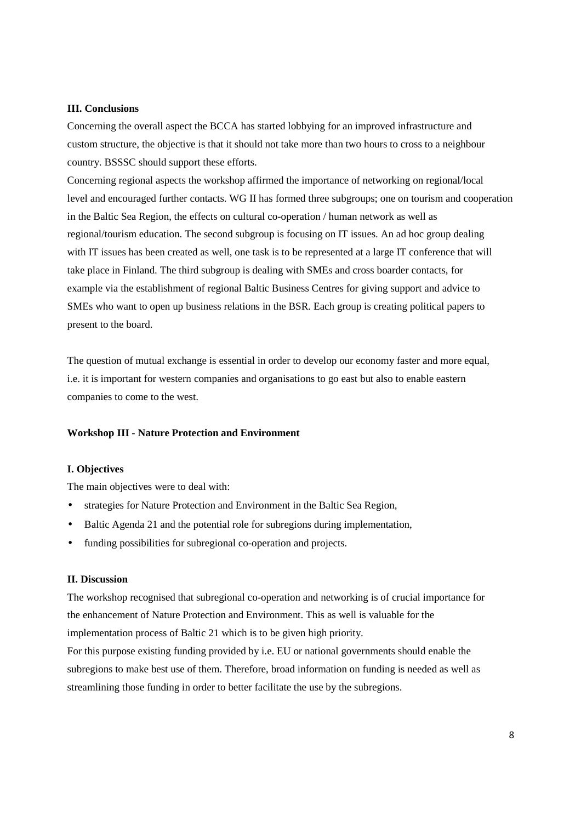#### **III. Conclusions**

Concerning the overall aspect the BCCA has started lobbying for an improved infrastructure and custom structure, the objective is that it should not take more than two hours to cross to a neighbour country. BSSSC should support these efforts.

Concerning regional aspects the workshop affirmed the importance of networking on regional/local level and encouraged further contacts. WG II has formed three subgroups; one on tourism and cooperation in the Baltic Sea Region, the effects on cultural co-operation / human network as well as regional/tourism education. The second subgroup is focusing on IT issues. An ad hoc group dealing with IT issues has been created as well, one task is to be represented at a large IT conference that will take place in Finland. The third subgroup is dealing with SMEs and cross boarder contacts, for example via the establishment of regional Baltic Business Centres for giving support and advice to SMEs who want to open up business relations in the BSR. Each group is creating political papers to present to the board.

The question of mutual exchange is essential in order to develop our economy faster and more equal, i.e. it is important for western companies and organisations to go east but also to enable eastern companies to come to the west.

#### **Workshop III - Nature Protection and Environment**

## **I. Objectives**

The main objectives were to deal with:

- strategies for Nature Protection and Environment in the Baltic Sea Region,
- Baltic Agenda 21 and the potential role for subregions during implementation,
- funding possibilities for subregional co-operation and projects.

## **II. Discussion**

The workshop recognised that subregional co-operation and networking is of crucial importance for the enhancement of Nature Protection and Environment. This as well is valuable for the implementation process of Baltic 21 which is to be given high priority.

For this purpose existing funding provided by i.e. EU or national governments should enable the subregions to make best use of them. Therefore, broad information on funding is needed as well as streamlining those funding in order to better facilitate the use by the subregions.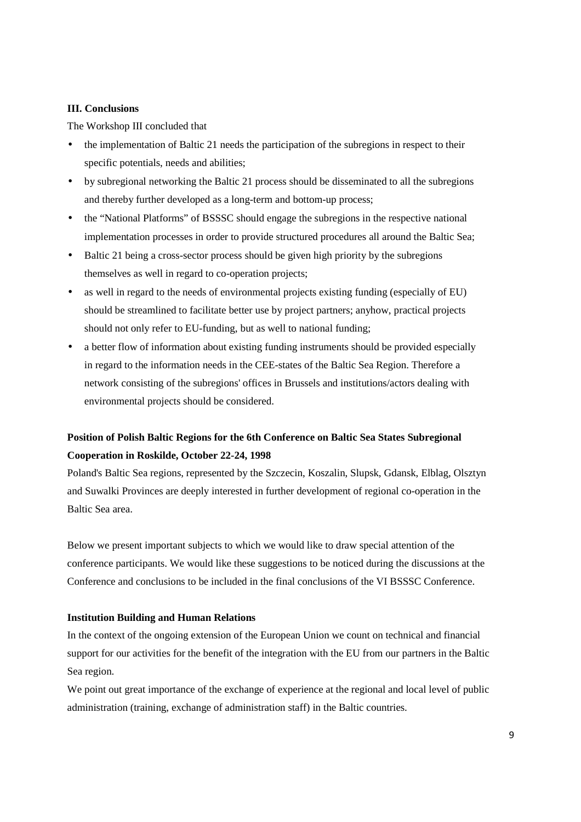#### **III. Conclusions**

The Workshop III concluded that

- the implementation of Baltic 21 needs the participation of the subregions in respect to their specific potentials, needs and abilities;
- by subregional networking the Baltic 21 process should be disseminated to all the subregions and thereby further developed as a long-term and bottom-up process;
- the "National Platforms" of BSSSC should engage the subregions in the respective national implementation processes in order to provide structured procedures all around the Baltic Sea;
- Baltic 21 being a cross-sector process should be given high priority by the subregions themselves as well in regard to co-operation projects;
- as well in regard to the needs of environmental projects existing funding (especially of EU) should be streamlined to facilitate better use by project partners; anyhow, practical projects should not only refer to EU-funding, but as well to national funding;
- a better flow of information about existing funding instruments should be provided especially in regard to the information needs in the CEE-states of the Baltic Sea Region. Therefore a network consisting of the subregions' offices in Brussels and institutions/actors dealing with environmental projects should be considered.

# **Position of Polish Baltic Regions for the 6th Conference on Baltic Sea States Subregional Cooperation in Roskilde, October 22-24, 1998**

Poland's Baltic Sea regions, represented by the Szczecin, Koszalin, Slupsk, Gdansk, Elblag, Olsztyn and Suwalki Provinces are deeply interested in further development of regional co-operation in the Baltic Sea area.

Below we present important subjects to which we would like to draw special attention of the conference participants. We would like these suggestions to be noticed during the discussions at the Conference and conclusions to be included in the final conclusions of the VI BSSSC Conference.

# **Institution Building and Human Relations**

In the context of the ongoing extension of the European Union we count on technical and financial support for our activities for the benefit of the integration with the EU from our partners in the Baltic Sea region.

We point out great importance of the exchange of experience at the regional and local level of public administration (training, exchange of administration staff) in the Baltic countries.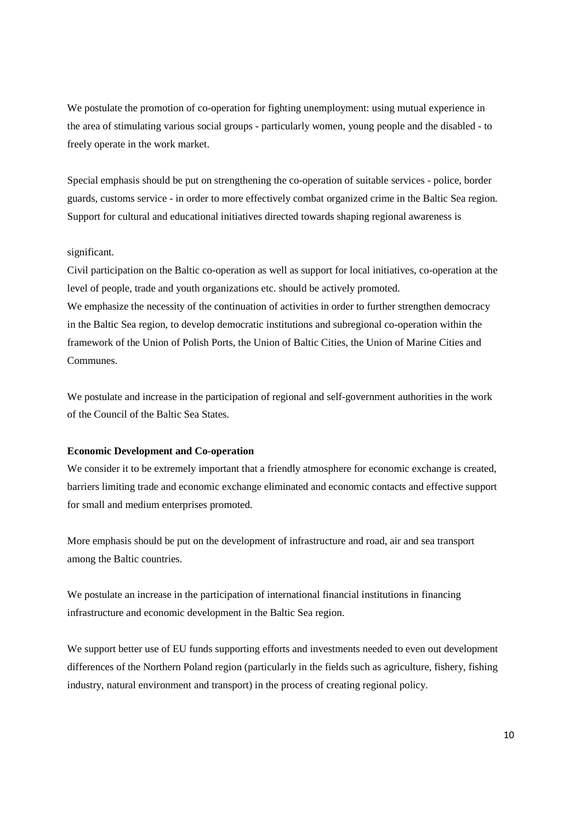We postulate the promotion of co-operation for fighting unemployment: using mutual experience in the area of stimulating various social groups - particularly women, young people and the disabled - to freely operate in the work market.

Special emphasis should be put on strengthening the co-operation of suitable services - police, border guards, customs service - in order to more effectively combat organized crime in the Baltic Sea region. Support for cultural and educational initiatives directed towards shaping regional awareness is

#### significant.

Civil participation on the Baltic co-operation as well as support for local initiatives, co-operation at the level of people, trade and youth organizations etc. should be actively promoted. We emphasize the necessity of the continuation of activities in order to further strengthen democracy in the Baltic Sea region, to develop democratic institutions and subregional co-operation within the framework of the Union of Polish Ports, the Union of Baltic Cities, the Union of Marine Cities and Communes.

We postulate and increase in the participation of regional and self-government authorities in the work of the Council of the Baltic Sea States.

## **Economic Development and Co-operation**

We consider it to be extremely important that a friendly atmosphere for economic exchange is created, barriers limiting trade and economic exchange eliminated and economic contacts and effective support for small and medium enterprises promoted.

More emphasis should be put on the development of infrastructure and road, air and sea transport among the Baltic countries.

We postulate an increase in the participation of international financial institutions in financing infrastructure and economic development in the Baltic Sea region.

We support better use of EU funds supporting efforts and investments needed to even out development differences of the Northern Poland region (particularly in the fields such as agriculture, fishery, fishing industry, natural environment and transport) in the process of creating regional policy.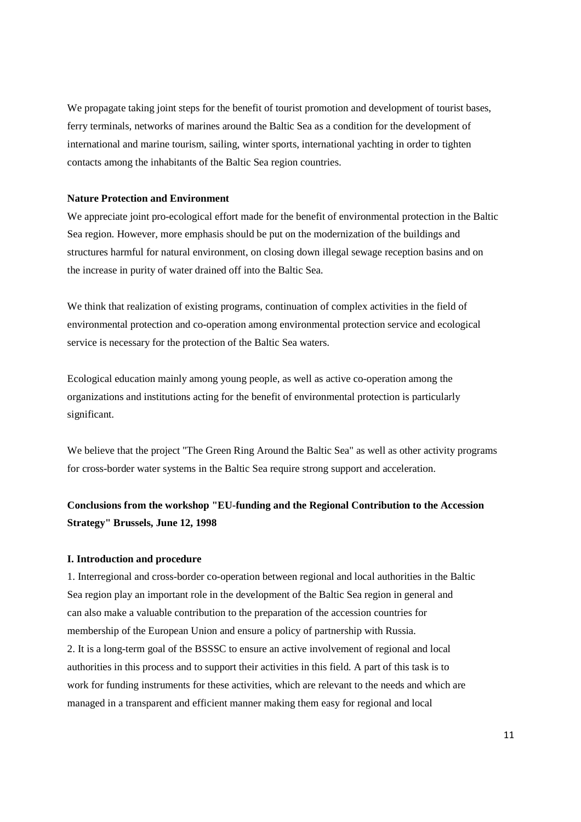We propagate taking joint steps for the benefit of tourist promotion and development of tourist bases, ferry terminals, networks of marines around the Baltic Sea as a condition for the development of international and marine tourism, sailing, winter sports, international yachting in order to tighten contacts among the inhabitants of the Baltic Sea region countries.

#### **Nature Protection and Environment**

We appreciate joint pro-ecological effort made for the benefit of environmental protection in the Baltic Sea region. However, more emphasis should be put on the modernization of the buildings and structures harmful for natural environment, on closing down illegal sewage reception basins and on the increase in purity of water drained off into the Baltic Sea.

We think that realization of existing programs, continuation of complex activities in the field of environmental protection and co-operation among environmental protection service and ecological service is necessary for the protection of the Baltic Sea waters.

Ecological education mainly among young people, as well as active co-operation among the organizations and institutions acting for the benefit of environmental protection is particularly significant.

We believe that the project "The Green Ring Around the Baltic Sea" as well as other activity programs for cross-border water systems in the Baltic Sea require strong support and acceleration.

# **Conclusions from the workshop "EU-funding and the Regional Contribution to the Accession Strategy" Brussels, June 12, 1998**

#### **I. Introduction and procedure**

1. Interregional and cross-border co-operation between regional and local authorities in the Baltic Sea region play an important role in the development of the Baltic Sea region in general and can also make a valuable contribution to the preparation of the accession countries for membership of the European Union and ensure a policy of partnership with Russia. 2. It is a long-term goal of the BSSSC to ensure an active involvement of regional and local authorities in this process and to support their activities in this field. A part of this task is to work for funding instruments for these activities, which are relevant to the needs and which are managed in a transparent and efficient manner making them easy for regional and local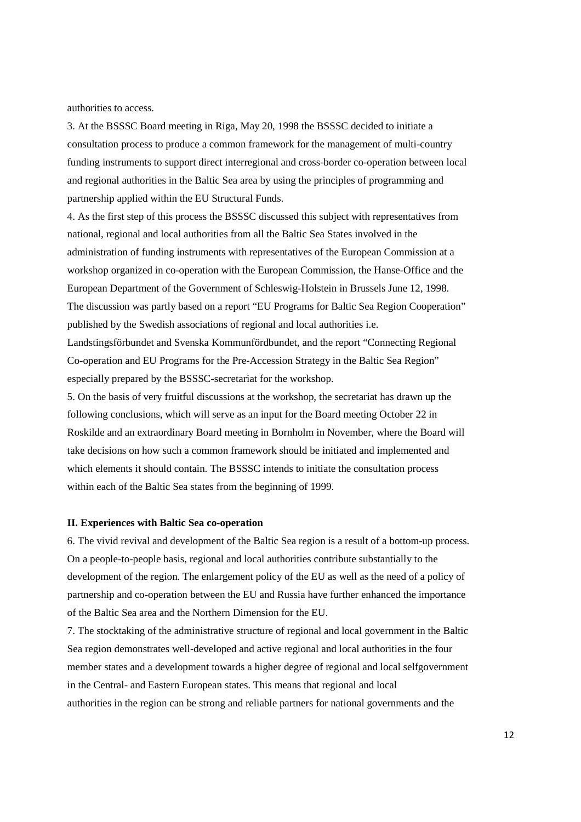authorities to access.

3. At the BSSSC Board meeting in Riga, May 20, 1998 the BSSSC decided to initiate a consultation process to produce a common framework for the management of multi-country funding instruments to support direct interregional and cross-border co-operation between local and regional authorities in the Baltic Sea area by using the principles of programming and partnership applied within the EU Structural Funds.

4. As the first step of this process the BSSSC discussed this subject with representatives from national, regional and local authorities from all the Baltic Sea States involved in the administration of funding instruments with representatives of the European Commission at a workshop organized in co-operation with the European Commission, the Hanse-Office and the European Department of the Government of Schleswig-Holstein in Brussels June 12, 1998. The discussion was partly based on a report "EU Programs for Baltic Sea Region Cooperation" published by the Swedish associations of regional and local authorities i.e.

Landstingsförbundet and Svenska Kommunfördbundet, and the report "Connecting Regional Co-operation and EU Programs for the Pre-Accession Strategy in the Baltic Sea Region" especially prepared by the BSSSC-secretariat for the workshop.

5. On the basis of very fruitful discussions at the workshop, the secretariat has drawn up the following conclusions, which will serve as an input for the Board meeting October 22 in Roskilde and an extraordinary Board meeting in Bornholm in November, where the Board will take decisions on how such a common framework should be initiated and implemented and which elements it should contain. The BSSSC intends to initiate the consultation process within each of the Baltic Sea states from the beginning of 1999.

#### **II. Experiences with Baltic Sea co-operation**

6. The vivid revival and development of the Baltic Sea region is a result of a bottom-up process. On a people-to-people basis, regional and local authorities contribute substantially to the development of the region. The enlargement policy of the EU as well as the need of a policy of partnership and co-operation between the EU and Russia have further enhanced the importance of the Baltic Sea area and the Northern Dimension for the EU.

7. The stocktaking of the administrative structure of regional and local government in the Baltic Sea region demonstrates well-developed and active regional and local authorities in the four member states and a development towards a higher degree of regional and local selfgovernment in the Central- and Eastern European states. This means that regional and local authorities in the region can be strong and reliable partners for national governments and the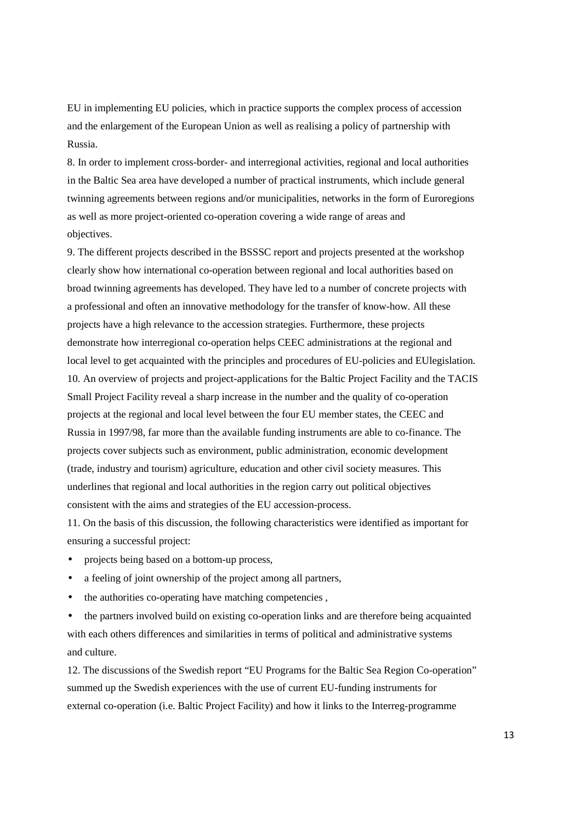EU in implementing EU policies, which in practice supports the complex process of accession and the enlargement of the European Union as well as realising a policy of partnership with Russia.

8. In order to implement cross-border- and interregional activities, regional and local authorities in the Baltic Sea area have developed a number of practical instruments, which include general twinning agreements between regions and/or municipalities, networks in the form of Euroregions as well as more project-oriented co-operation covering a wide range of areas and objectives.

9. The different projects described in the BSSSC report and projects presented at the workshop clearly show how international co-operation between regional and local authorities based on broad twinning agreements has developed. They have led to a number of concrete projects with a professional and often an innovative methodology for the transfer of know-how. All these projects have a high relevance to the accession strategies. Furthermore, these projects demonstrate how interregional co-operation helps CEEC administrations at the regional and local level to get acquainted with the principles and procedures of EU-policies and EUlegislation. 10. An overview of projects and project-applications for the Baltic Project Facility and the TACIS Small Project Facility reveal a sharp increase in the number and the quality of co-operation projects at the regional and local level between the four EU member states, the CEEC and Russia in 1997/98, far more than the available funding instruments are able to co-finance. The projects cover subjects such as environment, public administration, economic development (trade, industry and tourism) agriculture, education and other civil society measures. This underlines that regional and local authorities in the region carry out political objectives consistent with the aims and strategies of the EU accession-process.

11. On the basis of this discussion, the following characteristics were identified as important for ensuring a successful project:

- projects being based on a bottom-up process,
- a feeling of joint ownership of the project among all partners,
- the authorities co-operating have matching competencies,

• the partners involved build on existing co-operation links and are therefore being acquainted with each others differences and similarities in terms of political and administrative systems and culture.

12. The discussions of the Swedish report "EU Programs for the Baltic Sea Region Co-operation" summed up the Swedish experiences with the use of current EU-funding instruments for external co-operation (i.e. Baltic Project Facility) and how it links to the Interreg-programme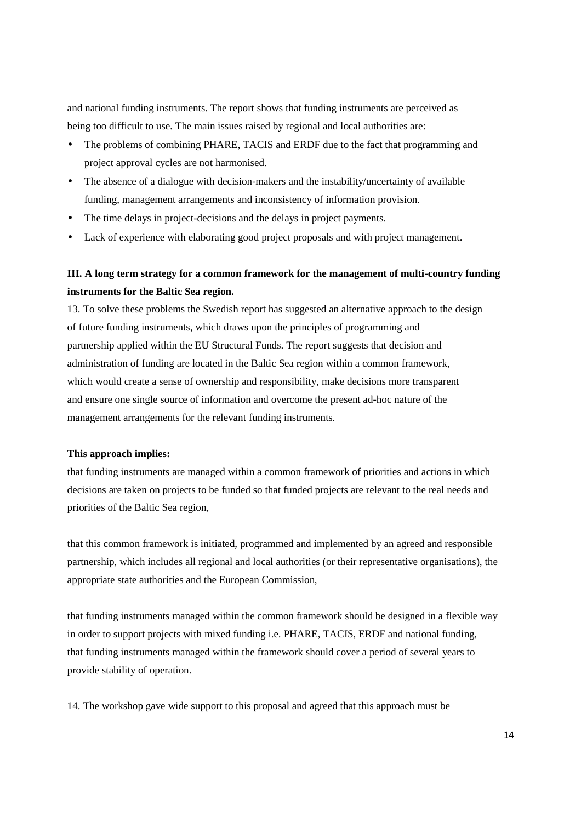and national funding instruments. The report shows that funding instruments are perceived as being too difficult to use. The main issues raised by regional and local authorities are:

- The problems of combining PHARE, TACIS and ERDF due to the fact that programming and project approval cycles are not harmonised.
- The absence of a dialogue with decision-makers and the instability/uncertainty of available funding, management arrangements and inconsistency of information provision.
- The time delays in project-decisions and the delays in project payments.
- Lack of experience with elaborating good project proposals and with project management.

# **III. A long term strategy for a common framework for the management of multi-country funding instruments for the Baltic Sea region.**

13. To solve these problems the Swedish report has suggested an alternative approach to the design of future funding instruments, which draws upon the principles of programming and partnership applied within the EU Structural Funds. The report suggests that decision and administration of funding are located in the Baltic Sea region within a common framework, which would create a sense of ownership and responsibility, make decisions more transparent and ensure one single source of information and overcome the present ad-hoc nature of the management arrangements for the relevant funding instruments.

#### **This approach implies:**

that funding instruments are managed within a common framework of priorities and actions in which decisions are taken on projects to be funded so that funded projects are relevant to the real needs and priorities of the Baltic Sea region,

that this common framework is initiated, programmed and implemented by an agreed and responsible partnership, which includes all regional and local authorities (or their representative organisations), the appropriate state authorities and the European Commission,

that funding instruments managed within the common framework should be designed in a flexible way in order to support projects with mixed funding i.e. PHARE, TACIS, ERDF and national funding, that funding instruments managed within the framework should cover a period of several years to provide stability of operation.

14. The workshop gave wide support to this proposal and agreed that this approach must be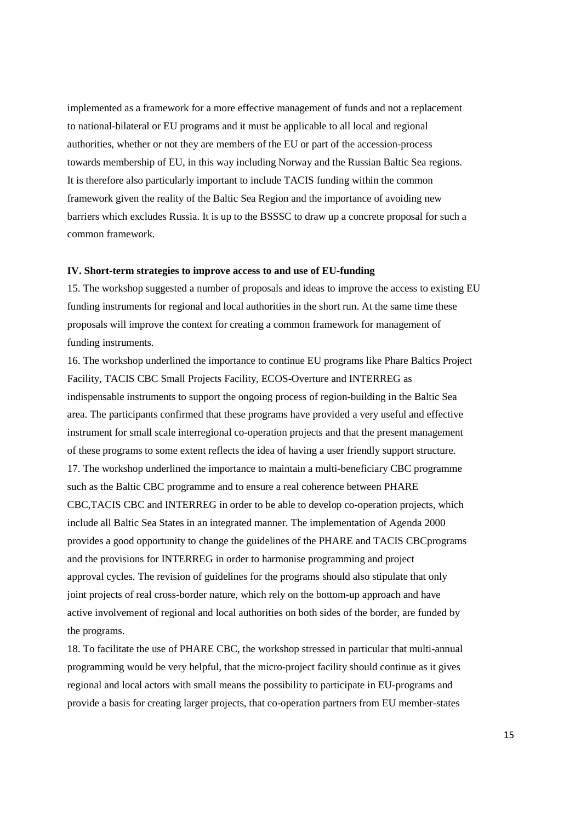implemented as a framework for a more effective management of funds and not a replacement to national-bilateral or EU programs and it must be applicable to all local and regional authorities, whether or not they are members of the EU or part of the accession-process towards membership of EU, in this way including Norway and the Russian Baltic Sea regions. It is therefore also particularly important to include TACIS funding within the common framework given the reality of the Baltic Sea Region and the importance of avoiding new barriers which excludes Russia. It is up to the BSSSC to draw up a concrete proposal for such a common framework.

#### **IV. Short-term strategies to improve access to and use of EU-funding**

15. The workshop suggested a number of proposals and ideas to improve the access to existing EU funding instruments for regional and local authorities in the short run. At the same time these proposals will improve the context for creating a common framework for management of funding instruments.

16. The workshop underlined the importance to continue EU programs like Phare Baltics Project Facility, TACIS CBC Small Projects Facility, ECOS-Overture and INTERREG as indispensable instruments to support the ongoing process of region-building in the Baltic Sea area. The participants confirmed that these programs have provided a very useful and effective instrument for small scale interregional co-operation projects and that the present management of these programs to some extent reflects the idea of having a user friendly support structure. 17. The workshop underlined the importance to maintain a multi-beneficiary CBC programme such as the Baltic CBC programme and to ensure a real coherence between PHARE CBC,TACIS CBC and INTERREG in order to be able to develop co-operation projects, which include all Baltic Sea States in an integrated manner. The implementation of Agenda 2000 provides a good opportunity to change the guidelines of the PHARE and TACIS CBCprograms and the provisions for INTERREG in order to harmonise programming and project approval cycles. The revision of guidelines for the programs should also stipulate that only joint projects of real cross-border nature, which rely on the bottom-up approach and have active involvement of regional and local authorities on both sides of the border, are funded by the programs.

18. To facilitate the use of PHARE CBC, the workshop stressed in particular that multi-annual programming would be very helpful, that the micro-project facility should continue as it gives regional and local actors with small means the possibility to participate in EU-programs and provide a basis for creating larger projects, that co-operation partners from EU member-states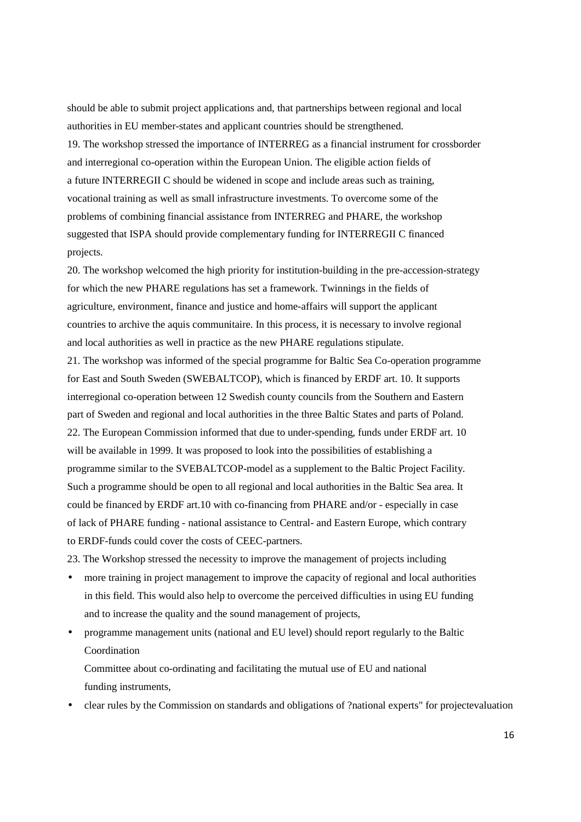should be able to submit project applications and, that partnerships between regional and local authorities in EU member-states and applicant countries should be strengthened. 19. The workshop stressed the importance of INTERREG as a financial instrument for crossborder and interregional co-operation within the European Union. The eligible action fields of a future INTERREGII C should be widened in scope and include areas such as training, vocational training as well as small infrastructure investments. To overcome some of the problems of combining financial assistance from INTERREG and PHARE, the workshop suggested that ISPA should provide complementary funding for INTERREGII C financed projects.

20. The workshop welcomed the high priority for institution-building in the pre-accession-strategy for which the new PHARE regulations has set a framework. Twinnings in the fields of agriculture, environment, finance and justice and home-affairs will support the applicant countries to archive the aquis communitaire. In this process, it is necessary to involve regional and local authorities as well in practice as the new PHARE regulations stipulate.

21. The workshop was informed of the special programme for Baltic Sea Co-operation programme for East and South Sweden (SWEBALTCOP), which is financed by ERDF art. 10. It supports interregional co-operation between 12 Swedish county councils from the Southern and Eastern part of Sweden and regional and local authorities in the three Baltic States and parts of Poland. 22. The European Commission informed that due to under-spending, funds under ERDF art. 10 will be available in 1999. It was proposed to look into the possibilities of establishing a programme similar to the SVEBALTCOP-model as a supplement to the Baltic Project Facility. Such a programme should be open to all regional and local authorities in the Baltic Sea area. It could be financed by ERDF art.10 with co-financing from PHARE and/or - especially in case of lack of PHARE funding - national assistance to Central- and Eastern Europe, which contrary to ERDF-funds could cover the costs of CEEC-partners.

23. The Workshop stressed the necessity to improve the management of projects including

- more training in project management to improve the capacity of regional and local authorities in this field. This would also help to overcome the perceived difficulties in using EU funding and to increase the quality and the sound management of projects,
- programme management units (national and EU level) should report regularly to the Baltic Coordination

Committee about co-ordinating and facilitating the mutual use of EU and national funding instruments,

• clear rules by the Commission on standards and obligations of ?national experts" for projectevaluation